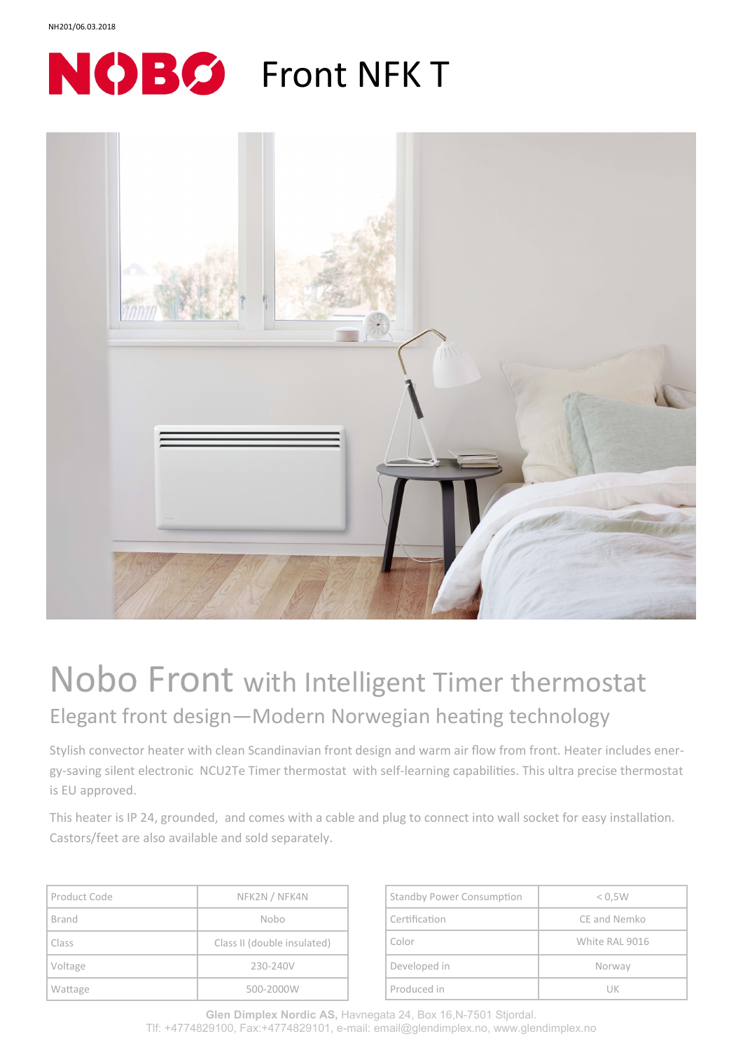



## Nobo Front with Intelligent Timer thermostat Elegant front design—Modern Norwegian heating technology

Stylish convector heater with clean Scandinavian front design and warm air flow from front. Heater includes energy-saving silent electronic NCU2Te Timer thermostat with self-learning capabilities. This ultra precise thermostat is EU approved.

This heater is IP 24, grounded, and comes with a cable and plug to connect into wall socket for easy installation. Castors/feet are also available and sold separately.

| Product Code | NFK2N / NFK4N               |
|--------------|-----------------------------|
| Brand        | Nobo                        |
| Class        | Class II (double insulated) |
| Voltage      | 230-240V                    |
| Wattage      | 500-2000W                   |

| <b>Standby Power Consumption</b> | < 0.5W         |
|----------------------------------|----------------|
| Certification                    | CE and Nemko   |
| Color                            | White RAL 9016 |
| Developed in                     | Norway         |
| Produced in                      | UК             |

**Glen Dimplex Nordic AS,** Havnegata 24, Box 16,N-7501 Stjordal. Tlf: +4774829100, Fax:+4774829101, e-mail: email@glendimplex.no, www.glendimplex.no